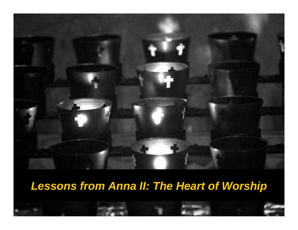

# *Lessons from Anna II: The Heart of Worship*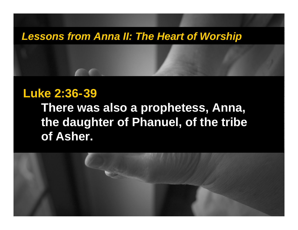### *Lessons from Anna II: The Heart of Worship*

## **Luke 2:36-39**

**There was also a prophetess, Anna, the daughter of Phanuel, of the tribe of Asher.** 

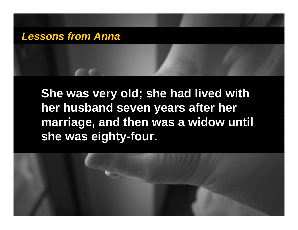**She was very old; she had lived with her husband seven years after her marriage, and then was a widow until she was eighty-four.** 

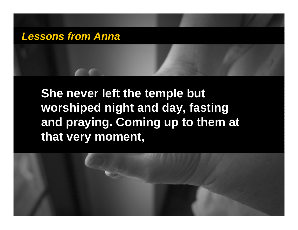# **She never left the temple but worshiped night and day, fasting and praying. Coming up to them at that very moment,**

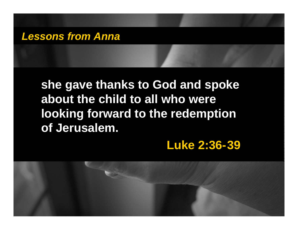# **she gave thanks to God and spoke about the child to all who were looking forward to the redemption of Jerusalem.**

## **Luke 2:36-39**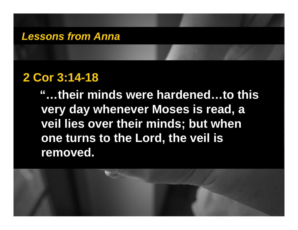## **2 Cor 3:14-18**

**"…their minds were hardened…to this very day whenever Moses is read, a veil lies over their minds; but when one turns to the Lord, the veil is removed.**

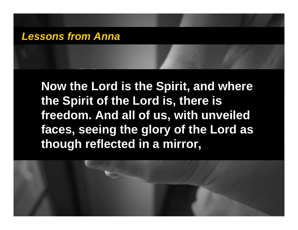**Now the Lord is the Spirit, and where the Spirit of the Lord is, there is freedom. And all of us, with unveiled faces, seeing the glory of the Lord as though reflected in a mirror,**